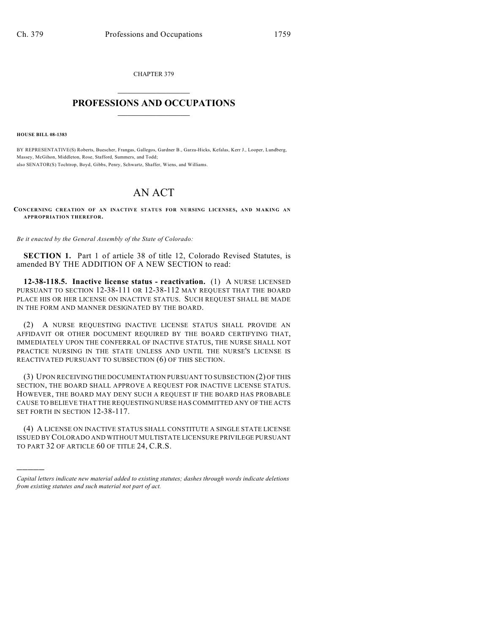CHAPTER 379  $\mathcal{L}_\text{max}$  . The set of the set of the set of the set of the set of the set of the set of the set of the set of the set of the set of the set of the set of the set of the set of the set of the set of the set of the set

## **PROFESSIONS AND OCCUPATIONS**  $\frac{1}{2}$  ,  $\frac{1}{2}$  ,  $\frac{1}{2}$  ,  $\frac{1}{2}$  ,  $\frac{1}{2}$  ,  $\frac{1}{2}$

**HOUSE BILL 08-1383**

)))))

BY REPRESENTATIVE(S) Roberts, Buescher, Frangas, Gallegos, Gardner B., Garza-Hicks, Kefalas, Kerr J., Looper, Lundberg, Massey, McGihon, Middleton, Rose, Stafford, Summers, and Todd; also SENATOR(S) Tochtrop, Boyd, Gibbs, Penry, Schwartz, Shaffer, Wiens, and Williams.

## AN ACT

**CONCERNING CREATION OF AN INACTIVE STATUS FOR NURSING LICENSES, AND MAKING AN APPROPRIATION THEREFOR.**

*Be it enacted by the General Assembly of the State of Colorado:*

**SECTION 1.** Part 1 of article 38 of title 12, Colorado Revised Statutes, is amended BY THE ADDITION OF A NEW SECTION to read:

**12-38-118.5. Inactive license status - reactivation.** (1) A NURSE LICENSED PURSUANT TO SECTION 12-38-111 OR 12-38-112 MAY REQUEST THAT THE BOARD PLACE HIS OR HER LICENSE ON INACTIVE STATUS. SUCH REQUEST SHALL BE MADE IN THE FORM AND MANNER DESIGNATED BY THE BOARD.

(2) A NURSE REQUESTING INACTIVE LICENSE STATUS SHALL PROVIDE AN AFFIDAVIT OR OTHER DOCUMENT REQUIRED BY THE BOARD CERTIFYING THAT, IMMEDIATELY UPON THE CONFERRAL OF INACTIVE STATUS, THE NURSE SHALL NOT PRACTICE NURSING IN THE STATE UNLESS AND UNTIL THE NURSE'S LICENSE IS REACTIVATED PURSUANT TO SUBSECTION (6) OF THIS SECTION.

(3) UPON RECEIVING THE DOCUMENTATION PURSUANT TO SUBSECTION (2) OF THIS SECTION, THE BOARD SHALL APPROVE A REQUEST FOR INACTIVE LICENSE STATUS. HOWEVER, THE BOARD MAY DENY SUCH A REQUEST IF THE BOARD HAS PROBABLE CAUSE TO BELIEVE THAT THE REQUESTING NURSE HAS COMMITTED ANY OF THE ACTS SET FORTH IN SECTION 12-38-117.

(4) A LICENSE ON INACTIVE STATUS SHALL CONSTITUTE A SINGLE STATE LICENSE ISSUED BY COLORADO AND WITHOUT MULTISTATE LICENSURE PRIVILEGE PURSUANT TO PART 32 OF ARTICLE 60 OF TITLE 24, C.R.S.

*Capital letters indicate new material added to existing statutes; dashes through words indicate deletions from existing statutes and such material not part of act.*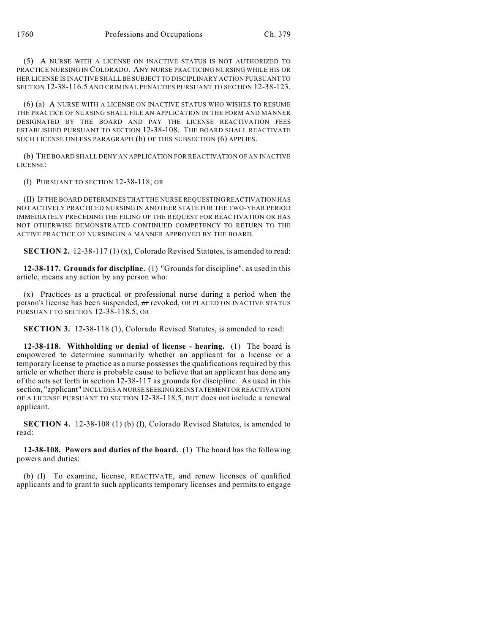(5) A NURSE WITH A LICENSE ON INACTIVE STATUS IS NOT AUTHORIZED TO PRACTICE NURSING IN COLORADO. ANY NURSE PRACTICING NURSING WHILE HIS OR HER LICENSE IS INACTIVE SHALL BE SUBJECT TO DISCIPLINARY ACTION PURSUANT TO SECTION 12-38-116.5 AND CRIMINAL PENALTIES PURSUANT TO SECTION 12-38-123.

(6) (a) A NURSE WITH A LICENSE ON INACTIVE STATUS WHO WISHES TO RESUME THE PRACTICE OF NURSING SHALL FILE AN APPLICATION IN THE FORM AND MANNER DESIGNATED BY THE BOARD AND PAY THE LICENSE REACTIVATION FEES ESTABLISHED PURSUANT TO SECTION 12-38-108. THE BOARD SHALL REACTIVATE SUCH LICENSE UNLESS PARAGRAPH (b) OF THIS SUBSECTION (6) APPLIES.

(b) THE BOARD SHALL DENY AN APPLICATION FOR REACTIVATION OF AN INACTIVE LICENSE:

(I) PURSUANT TO SECTION 12-38-118; OR

(II) IF THE BOARD DETERMINES THAT THE NURSE REQUESTING REACTIVATION HAS NOT ACTIVELY PRACTICED NURSING IN ANOTHER STATE FOR THE TWO-YEAR PERIOD IMMEDIATELY PRECEDING THE FILING OF THE REQUEST FOR REACTIVATION OR HAS NOT OTHERWISE DEMONSTRATED CONTINUED COMPETENCY TO RETURN TO THE ACTIVE PRACTICE OF NURSING IN A MANNER APPROVED BY THE BOARD.

**SECTION 2.** 12-38-117 (1) (x), Colorado Revised Statutes, is amended to read:

**12-38-117. Grounds for discipline.** (1) "Grounds for discipline", as used in this article, means any action by any person who:

(x) Practices as a practical or professional nurse during a period when the person's license has been suspended, or revoked, OR PLACED ON INACTIVE STATUS PURSUANT TO SECTION 12-38-118.5; OR

**SECTION 3.** 12-38-118 (1), Colorado Revised Statutes, is amended to read:

**12-38-118. Withholding or denial of license - hearing.** (1) The board is empowered to determine summarily whether an applicant for a license or a temporary license to practice as a nurse possesses the qualifications required by this article or whether there is probable cause to believe that an applicant has done any of the acts set forth in section 12-38-117 as grounds for discipline. As used in this section, "applicant" INCLUDES A NURSE SEEKING REINSTATEMENT OR REACTIVATION OF A LICENSE PURSUANT TO SECTION 12-38-118.5, BUT does not include a renewal applicant.

**SECTION 4.** 12-38-108 (1) (b) (I), Colorado Revised Statutes, is amended to read:

**12-38-108. Powers and duties of the board.** (1) The board has the following powers and duties:

(b) (I) To examine, license, REACTIVATE, and renew licenses of qualified applicants and to grant to such applicants temporary licenses and permits to engage